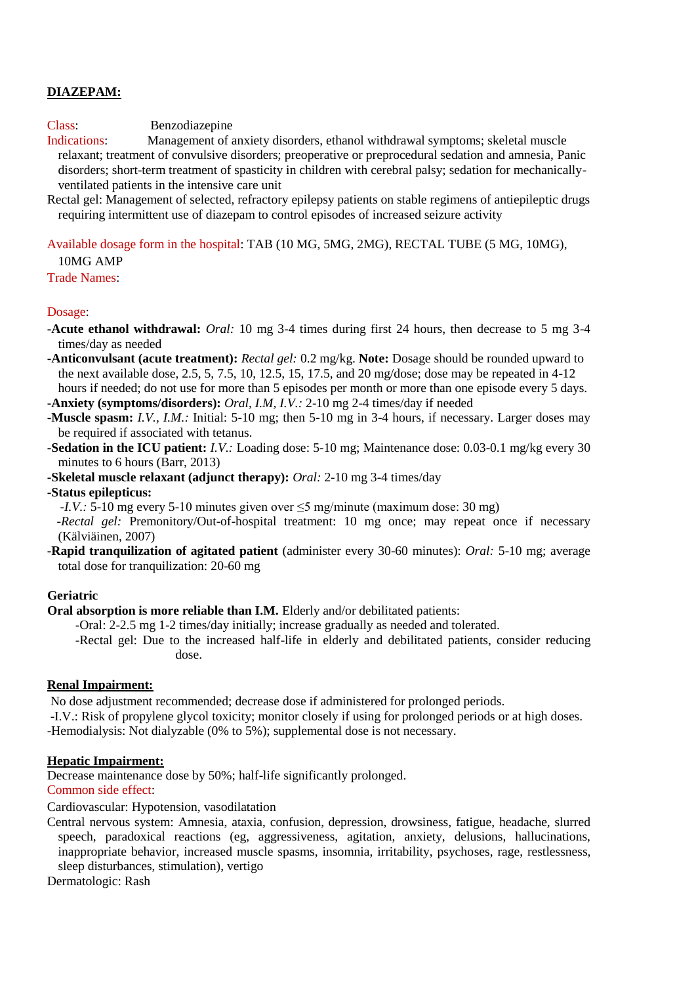# **DIAZEPAM:**

Class: Benzodiazepine

Indications: Management of anxiety disorders, ethanol withdrawal symptoms; skeletal muscle relaxant; treatment of convulsive disorders; preoperative or preprocedural sedation and amnesia, Panic disorders; short-term treatment of spasticity in children with cerebral palsy; sedation for mechanicallyventilated patients in the intensive care unit

Rectal gel: Management of selected, refractory epilepsy patients on stable regimens of antiepileptic drugs requiring intermittent use of diazepam to control episodes of increased seizure activity

Available dosage form in the hospital: TAB (10 MG, 5MG, 2MG), RECTAL TUBE (5 MG, 10MG),

10MG AMP

Trade Names:

### Dosage:

**-Acute ethanol withdrawal:** *Oral:* 10 mg 3-4 times during first 24 hours, then decrease to 5 mg 3-4 times/day as needed

**-Anticonvulsant (acute treatment):** *Rectal gel:* 0.2 mg/kg. **Note:** Dosage should be rounded upward to the next available dose,  $2.5, 5, 7.5, 10, 12.5, 15, 17.5,$  and  $20 \text{ mg/dose}$ ; dose may be repeated in  $4-12$ hours if needed; do not use for more than 5 episodes per month or more than one episode every 5 days.

**-Anxiety (symptoms/disorders):** *Oral, I.M, I.V.:* 2-10 mg 2-4 times/day if needed

**-Muscle spasm:** *I.V., I.M.:* Initial: 5-10 mg; then 5-10 mg in 3-4 hours, if necessary. Larger doses may be required if associated with tetanus.

**-Sedation in the ICU patient:** *I.V.:* Loading dose: 5-10 mg; Maintenance dose: 0.03-0.1 mg/kg every 30 minutes to 6 hours (Barr, 2013)

**-Skeletal muscle relaxant (adjunct therapy):** *Oral:* 2-10 mg 3-4 times/day

**-Status epilepticus:**

*-I.V.: 5-10 mg every 5-10 minutes given over ≤5 mg/minute (maximum dose: 30 mg)* 

 *-Rectal gel:* Premonitory/Out-of-hospital treatment: 10 mg once; may repeat once if necessary (Kälviäinen, 2007)

**-Rapid tranquilization of agitated patient** (administer every 30-60 minutes): *Oral:* 5-10 mg; average total dose for tranquilization: 20-60 mg

### **Geriatric**

**Oral absorption is more reliable than I.M.** Elderly and/or debilitated patients:

-Oral: 2-2.5 mg 1-2 times/day initially; increase gradually as needed and tolerated.

-Rectal gel: Due to the increased half-life in elderly and debilitated patients, consider reducing dose.

### **Renal Impairment:**

No dose adjustment recommended; decrease dose if administered for prolonged periods. -I.V.: Risk of propylene glycol toxicity; monitor closely if using for prolonged periods or at high doses. -Hemodialysis: Not dialyzable (0% to 5%); supplemental dose is not necessary.

### **Hepatic Impairment:**

Decrease maintenance dose by 50%; half-life significantly prolonged.

## Common side effect:

Cardiovascular: Hypotension, vasodilatation

Central nervous system: Amnesia, ataxia, confusion, depression, drowsiness, fatigue, headache, slurred speech, paradoxical reactions (eg, aggressiveness, agitation, anxiety, delusions, hallucinations, inappropriate behavior, increased muscle spasms, insomnia, irritability, psychoses, rage, restlessness, sleep disturbances, stimulation), vertigo

Dermatologic: Rash